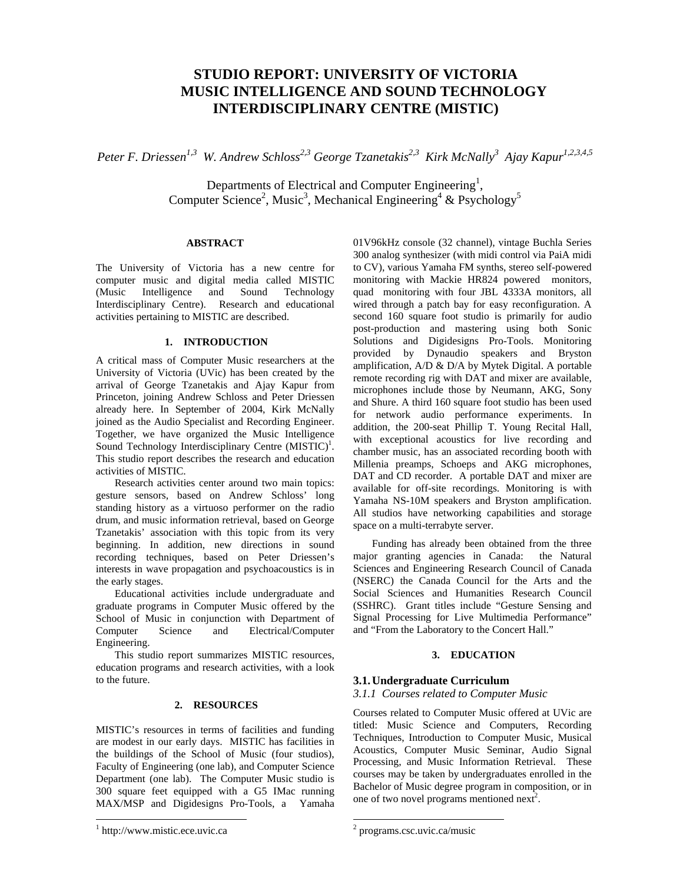# **STUDIO REPORT: UNIVERSITY OF VICTORIA MUSIC INTELLIGENCE AND SOUND TECHNOLOGY INTERDISCIPLINARY CENTRE (MISTIC)**

*Peter F. Driessen1,3 W. Andrew Schloss2,3 George Tzanetakis2,3 Kirk McNally3 Ajay Kapur1,2,3,4,5*

Departments of Electrical and Computer Engineering<sup>1</sup>, Computer Science<sup>2</sup>, Music<sup>3</sup>, Mechanical Engineering<sup>4</sup> & Psychology<sup>5</sup>

# **ABSTRACT**

The University of Victoria has a new centre for computer music and digital media called MISTIC (Music Intelligence and Sound Technology Interdisciplinary Centre). Research and educational activities pertaining to MISTIC are described.

#### **1. INTRODUCTION**

A critical mass of Computer Music researchers at the University of Victoria (UVic) has been created by the arrival of George Tzanetakis and Ajay Kapur from Princeton, joining Andrew Schloss and Peter Driessen already here. In September of 2004, Kirk McNally joined as the Audio Specialist and Recording Engineer. Together, we have organized the Music Intelligence Sound Technology Interdisciplinary Centre  $(MISTIC)^1$ . This studio report describes the research and education activities of MISTIC.

Research activities center around two main topics: gesture sensors, based on Andrew Schloss' long standing history as a virtuoso performer on the radio drum, and music information retrieval, based on George Tzanetakis' association with this topic from its very beginning. In addition, new directions in sound recording techniques, based on Peter Driessen's interests in wave propagation and psychoacoustics is in the early stages.

Educational activities include undergraduate and graduate programs in Computer Music offered by the School of Music in conjunction with Department of Computer Science and Electrical/Computer Engineering.

This studio report summarizes MISTIC resources, education programs and research activities, with a look to the future.

## **2. RESOURCES**

MISTIC's resources in terms of facilities and funding are modest in our early days. MISTIC has facilities in the buildings of the School of Music (four studios), Faculty of Engineering (one lab), and Computer Science Department (one lab). The Computer Music studio is 300 square feet equipped with a G5 IMac running MAX/MSP and Digidesigns Pro-Tools, a Yamaha 01V96kHz console (32 channel), vintage Buchla Series 300 analog synthesizer (with midi control via PaiA midi to CV), various Yamaha FM synths, stereo self-powered monitoring with Mackie HR824 powered monitors, quad monitoring with four JBL 4333A monitors, all wired through a patch bay for easy reconfiguration. A second 160 square foot studio is primarily for audio post-production and mastering using both Sonic Solutions and Digidesigns Pro-Tools. Monitoring provided by Dynaudio speakers and Bryston amplification, A/D & D/A by Mytek Digital. A portable remote recording rig with DAT and mixer are available, microphones include those by Neumann, AKG, Sony and Shure. A third 160 square foot studio has been used for network audio performance experiments. In addition, the 200-seat Phillip T. Young Recital Hall, with exceptional acoustics for live recording and chamber music, has an associated recording booth with Millenia preamps, Schoeps and AKG microphones, DAT and CD recorder. A portable DAT and mixer are available for off-site recordings. Monitoring is with Yamaha NS-10M speakers and Bryston amplification. All studios have networking capabilities and storage space on a multi-terrabyte server.

Funding has already been obtained from the three major granting agencies in Canada: the Natural Sciences and Engineering Research Council of Canada (NSERC) the Canada Council for the Arts and the Social Sciences and Humanities Research Council (SSHRC). Grant titles include "Gesture Sensing and Signal Processing for Live Multimedia Performance" and "From the Laboratory to the Concert Hall."

#### **3. EDUCATION**

#### **3.1.Undergraduate Curriculum**

# *3.1.1 Courses related to Computer Music*

Courses related to Computer Music offered at UVic are titled: Music Science and Computers, Recording Techniques, Introduction to Computer Music, Musical Acoustics, Computer Music Seminar, Audio Signal Processing, and Music Information Retrieval. These courses may be taken by undergraduates enrolled in the Bachelor of Music degree program in composition, or in one of two novel programs mentioned next<sup>2</sup>.

 $\overline{a}$ 

<sup>&</sup>lt;sup>1</sup> http://www.mistic.ece.uvic.ca

<sup>2</sup> programs.csc.uvic.ca/music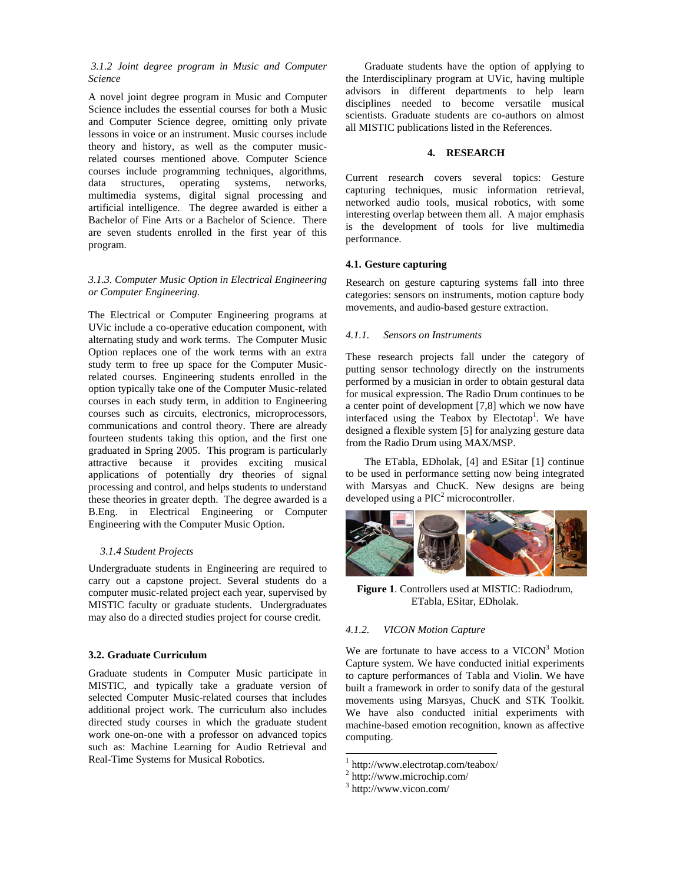## *3.1.2 Joint degree program in Music and Computer Science*

A novel joint degree program in Music and Computer Science includes the essential courses for both a Music and Computer Science degree, omitting only private lessons in voice or an instrument. Music courses include theory and history, as well as the computer musicrelated courses mentioned above. Computer Science courses include programming techniques, algorithms, data structures, operating systems, networks, multimedia systems, digital signal processing and artificial intelligence. The degree awarded is either a Bachelor of Fine Arts or a Bachelor of Science. There are seven students enrolled in the first year of this program.

# *3.1.3. Computer Music Option in Electrical Engineering or Computer Engineering.*

The Electrical or Computer Engineering programs at UVic include a co-operative education component, with alternating study and work terms. The Computer Music Option replaces one of the work terms with an extra study term to free up space for the Computer Musicrelated courses. Engineering students enrolled in the option typically take one of the Computer Music-related courses in each study term, in addition to Engineering courses such as circuits, electronics, microprocessors, communications and control theory. There are already fourteen students taking this option, and the first one graduated in Spring 2005. This program is particularly attractive because it provides exciting musical applications of potentially dry theories of signal processing and control, and helps students to understand these theories in greater depth. The degree awarded is a B.Eng. in Electrical Engineering or Computer Engineering with the Computer Music Option.

# *3.1.4 Student Projects*

Undergraduate students in Engineering are required to carry out a capstone project. Several students do a computer music-related project each year, supervised by MISTIC faculty or graduate students. Undergraduates may also do a directed studies project for course credit.

#### **3.2. Graduate Curriculum**

Graduate students in Computer Music participate in MISTIC, and typically take a graduate version of selected Computer Music-related courses that includes additional project work. The curriculum also includes directed study courses in which the graduate student work one-on-one with a professor on advanced topics such as: Machine Learning for Audio Retrieval and Real-Time Systems for Musical Robotics.

Graduate students have the option of applying to the Interdisciplinary program at UVic, having multiple advisors in different departments to help learn disciplines needed to become versatile musical scientists. Graduate students are co-authors on almost all MISTIC publications listed in the References.

# **4. RESEARCH**

Current research covers several topics: Gesture capturing techniques, music information retrieval, networked audio tools, musical robotics, with some interesting overlap between them all. A major emphasis is the development of tools for live multimedia performance.

## **4.1. Gesture capturing**

Research on gesture capturing systems fall into three categories: sensors on instruments, motion capture body movements, and audio-based gesture extraction.

#### *4.1.1. Sensors on Instruments*

These research projects fall under the category of putting sensor technology directly on the instruments performed by a musician in order to obtain gestural data for musical expression. The Radio Drum continues to be a center point of development [7,8] which we now have interfaced using the Teabox by Electotap<sup>1</sup>. We have designed a flexible system [5] for analyzing gesture data from the Radio Drum using MAX/MSP.

The ETabla, EDholak, [4] and ESitar [1] continue to be used in performance setting now being integrated with Marsyas and ChucK. New designs are being developed using a  $\text{PIC}^2$  microcontroller.



**Figure 1**. Controllers used at MISTIC: Radiodrum, ETabla, ESitar, EDholak.

## *4.1.2. VICON Motion Capture*

We are fortunate to have access to a  $VICON<sup>3</sup>$  Motion Capture system. We have conducted initial experiments to capture performances of Tabla and Violin. We have built a framework in order to sonify data of the gestural movements using Marsyas, ChucK and STK Toolkit. We have also conducted initial experiments with machine-based emotion recognition, known as affective computing.

1

<sup>1</sup> http://www.electrotap.com/teabox/

<sup>2</sup> http://www.microchip.com/

<sup>3</sup> http://www.vicon.com/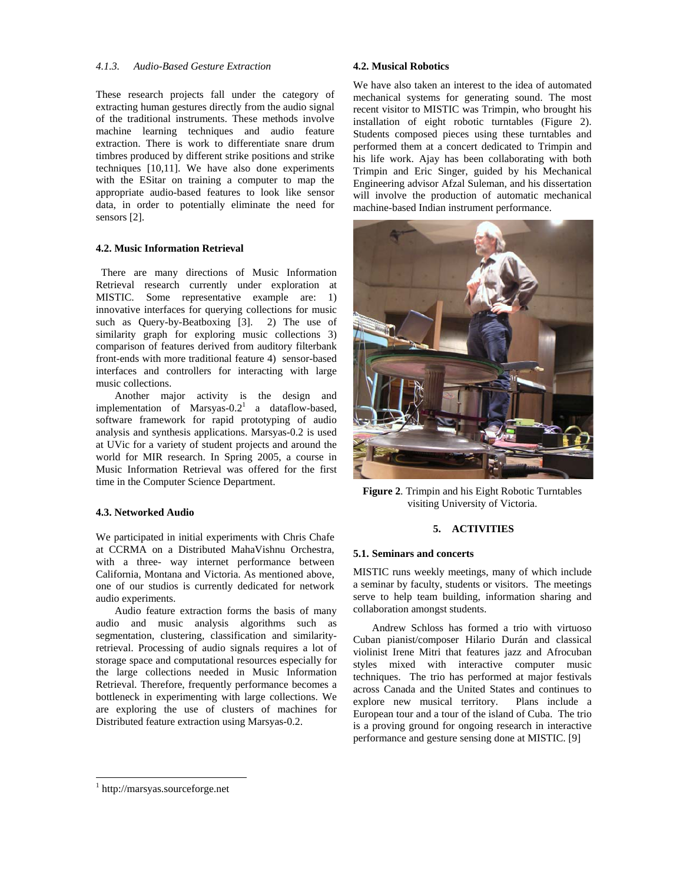#### *4.1.3. Audio-Based Gesture Extraction*

These research projects fall under the category of extracting human gestures directly from the audio signal of the traditional instruments. These methods involve machine learning techniques and audio feature extraction. There is work to differentiate snare drum timbres produced by different strike positions and strike techniques [10,11]. We have also done experiments with the ESitar on training a computer to map the appropriate audio-based features to look like sensor data, in order to potentially eliminate the need for sensors [2].

## **4.2. Music Information Retrieval**

 There are many directions of Music Information Retrieval research currently under exploration at MISTIC. Some representative example are: 1) innovative interfaces for querying collections for music such as Query-by-Beatboxing [3]. 2) The use of similarity graph for exploring music collections 3) comparison of features derived from auditory filterbank front-ends with more traditional feature 4) sensor-based interfaces and controllers for interacting with large music collections.

Another major activity is the design and implementation of Marsyas- $0.2<sup>1</sup>$  a dataflow-based, software framework for rapid prototyping of audio analysis and synthesis applications. Marsyas-0.2 is used at UVic for a variety of student projects and around the world for MIR research. In Spring 2005, a course in Music Information Retrieval was offered for the first time in the Computer Science Department.

## **4.3. Networked Audio**

We participated in initial experiments with Chris Chafe at CCRMA on a Distributed MahaVishnu Orchestra, with a three- way internet performance between California, Montana and Victoria. As mentioned above, one of our studios is currently dedicated for network audio experiments.

Audio feature extraction forms the basis of many audio and music analysis algorithms such as segmentation, clustering, classification and similarityretrieval. Processing of audio signals requires a lot of storage space and computational resources especially for the large collections needed in Music Information Retrieval. Therefore, frequently performance becomes a bottleneck in experimenting with large collections. We are exploring the use of clusters of machines for Distributed feature extraction using Marsyas-0.2.

#### **4.2. Musical Robotics**

We have also taken an interest to the idea of automated mechanical systems for generating sound. The most recent visitor to MISTIC was Trimpin, who brought his installation of eight robotic turntables (Figure 2). Students composed pieces using these turntables and performed them at a concert dedicated to Trimpin and his life work. Ajay has been collaborating with both Trimpin and Eric Singer, guided by his Mechanical Engineering advisor Afzal Suleman, and his dissertation will involve the production of automatic mechanical machine-based Indian instrument performance.



**Figure 2**. Trimpin and his Eight Robotic Turntables visiting University of Victoria.

# **5. ACTIVITIES**

#### **5.1. Seminars and concerts**

MISTIC runs weekly meetings, many of which include a seminar by faculty, students or visitors. The meetings serve to help team building, information sharing and collaboration amongst students.

Andrew Schloss has formed a trio with virtuoso Cuban pianist/composer Hilario Durán and classical violinist Irene Mitri that features jazz and Afrocuban styles mixed with interactive computer music techniques. The trio has performed at major festivals across Canada and the United States and continues to explore new musical territory. Plans include a European tour and a tour of the island of Cuba. The trio is a proving ground for ongoing research in interactive performance and gesture sensing done at MISTIC. [9]

l

<sup>1</sup> http://marsyas.sourceforge.net